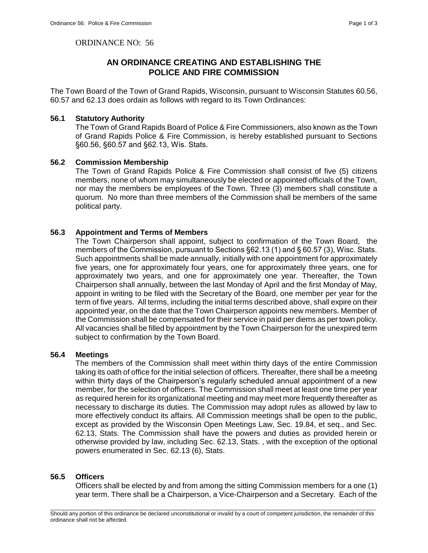ORDINANCE NO: 56

# **AN ORDINANCE CREATING AND ESTABLISHING THE POLICE AND FIRE COMMISSION**

The Town Board of the Town of Grand Rapids, Wisconsin, pursuant to Wisconsin Statutes 60.56, 60.57 and 62.13 does ordain as follows with regard to its Town Ordinances:

#### **56.1 Statutory Authority**

The Town of Grand Rapids Board of Police & Fire Commissioners, also known as the Town of Grand Rapids Police & Fire Commission, is hereby established pursuant to Sections §60.56, §60.57 and §62.13, Wis. Stats.

### **56.2 Commission Membership**

The Town of Grand Rapids Police & Fire Commission shall consist of five (5) citizens members, none of whom may simultaneously be elected or appointed officials of the Town, nor may the members be employees of the Town. Three (3) members shall constitute a quorum. No more than three members of the Commission shall be members of the same political party.

## **56.3 Appointment and Terms of Members**

The Town Chairperson shall appoint, subject to confirmation of the Town Board, the members of the Commission, pursuant to Sections §62.13 (1) and § 60.57 (3), Wisc. Stats. Such appointments shall be made annually, initially with one appointment for approximately five years, one for approximately four years, one for approximately three years, one for approximately two years, and one for approximately one year. Thereafter, the Town Chairperson shall annually, between the last Monday of April and the first Monday of May, appoint in writing to be filed with the Secretary of the Board, one member per year for the term of five years. All terms, including the initial terms described above, shall expire on their appointed year, on the date that the Town Chairperson appoints new members. Member of the Commission shall be compensated for their service in paid per diems as per town policy. All vacancies shall be filled by appointment by the Town Chairperson for the unexpired term subject to confirmation by the Town Board.

## **56.4 Meetings**

The members of the Commission shall meet within thirty days of the entire Commission taking its oath of office for the initial selection of officers. Thereafter, there shall be a meeting within thirty days of the Chairperson's regularly scheduled annual appointment of a new member, for the selection of officers. The Commission shall meet at least one time per year as required herein for its organizational meeting and may meet more frequently thereafter as necessary to discharge its duties. The Commission may adopt rules as allowed by law to more effectively conduct its affairs. All Commission meetings shall be open to the public, except as provided by the Wisconsin Open Meetings Law, Sec. 19.84, et seq., and Sec. 62.13, Stats. The Commission shall have the powers and duties as provided herein or otherwise provided by law, including Sec. 62.13, Stats. , with the exception of the optional powers enumerated in Sec. 62.13 (6), Stats.

## **56.5 Officers**

Officers shall be elected by and from among the sitting Commission members for a one (1) year term. There shall be a Chairperson, a Vice-Chairperson and a Secretary. Each of the

\_\_\_\_\_\_\_\_\_\_\_\_\_\_\_\_\_\_\_\_\_\_\_\_\_\_\_\_\_\_\_\_\_\_\_\_\_\_\_\_\_\_\_\_\_\_\_\_\_\_\_\_\_\_\_\_\_\_\_\_\_\_\_\_\_\_\_\_\_\_\_\_\_\_\_\_\_\_\_\_\_\_\_\_\_\_\_\_\_\_\_\_\_\_\_\_\_\_\_\_\_\_\_\_\_ Should any portion of this ordinance be declared unconstitutional or invalid by a court of competent jurisdiction, the remainder of this ordinance shall not be affected.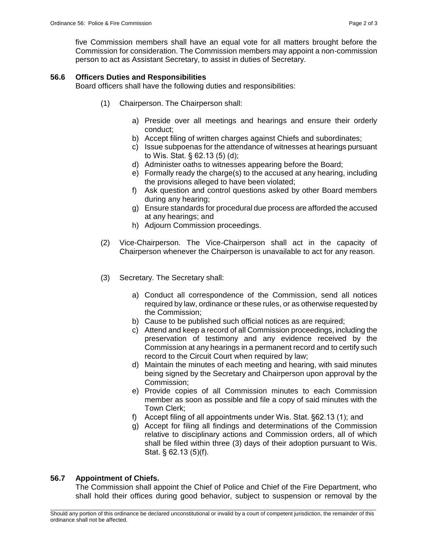five Commission members shall have an equal vote for all matters brought before the Commission for consideration. The Commission members may appoint a non-commission person to act as Assistant Secretary, to assist in duties of Secretary.

# **56.6 Officers Duties and Responsibilities**

Board officers shall have the following duties and responsibilities:

- (1) Chairperson. The Chairperson shall:
	- a) Preside over all meetings and hearings and ensure their orderly conduct;
	- b) Accept filing of written charges against Chiefs and subordinates;
	- c) Issue subpoenas for the attendance of witnesses at hearings pursuant to Wis. Stat. § 62.13 (5) (d);
	- d) Administer oaths to witnesses appearing before the Board;
	- e) Formally ready the charge(s) to the accused at any hearing, including the provisions alleged to have been violated;
	- f) Ask question and control questions asked by other Board members during any hearing;
	- g) Ensure standards for procedural due process are afforded the accused at any hearings; and
	- h) Adjourn Commission proceedings.
- (2) Vice-Chairperson. The Vice-Chairperson shall act in the capacity of Chairperson whenever the Chairperson is unavailable to act for any reason.
- (3) Secretary. The Secretary shall:
	- a) Conduct all correspondence of the Commission, send all notices required by law, ordinance or these rules, or as otherwise requested by the Commission;
	- b) Cause to be published such official notices as are required;
	- c) Attend and keep a record of all Commission proceedings, including the preservation of testimony and any evidence received by the Commission at any hearings in a permanent record and to certify such record to the Circuit Court when required by law;
	- d) Maintain the minutes of each meeting and hearing, with said minutes being signed by the Secretary and Chairperson upon approval by the Commission;
	- e) Provide copies of all Commission minutes to each Commission member as soon as possible and file a copy of said minutes with the Town Clerk;
	- f) Accept filing of all appointments under Wis. Stat. §62.13 (1); and
	- g) Accept for filing all findings and determinations of the Commission relative to disciplinary actions and Commission orders, all of which shall be filed within three (3) days of their adoption pursuant to Wis. Stat. § 62.13 (5)(f).

# **56.7 Appointment of Chiefs.**

The Commission shall appoint the Chief of Police and Chief of the Fire Department, who shall hold their offices during good behavior, subject to suspension or removal by the